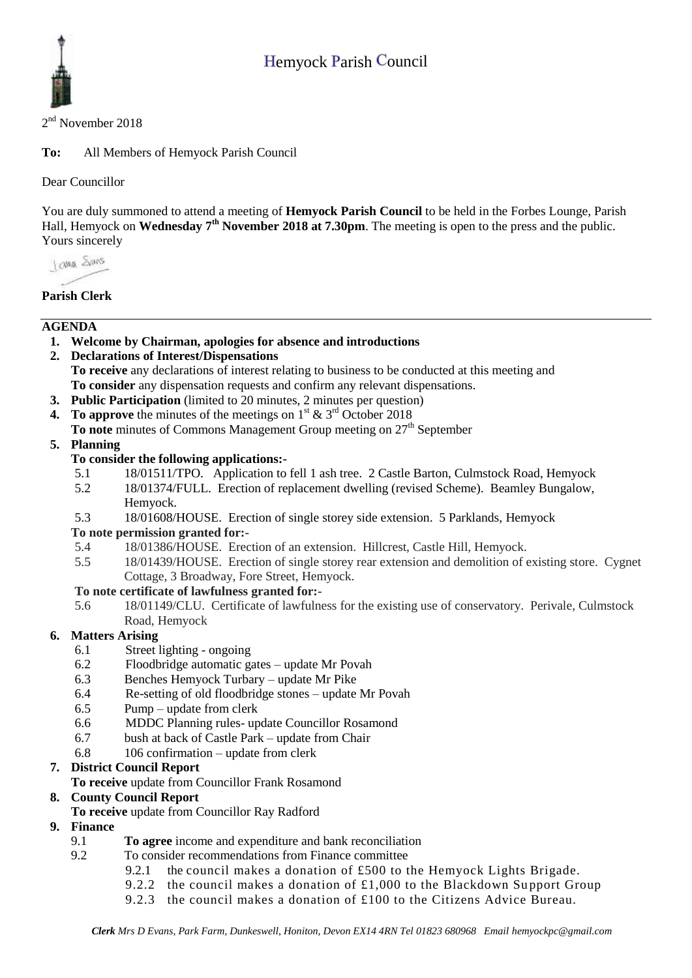

2<sup>nd</sup> November 2018

**To:** All Members of Hemyock Parish Council

Dear Councillor

You are duly summoned to attend a meeting of **Hemyock Parish Council** to be held in the Forbes Lounge, Parish Hall, Hemyock on **Wednesday** 7<sup>th</sup> November 2018 at 7.30pm. The meeting is open to the press and the public. Yours sincerely

I awa Shans

# **Parish Clerk**

## **AGENDA**

- **1. Welcome by Chairman, apologies for absence and introductions**
- **2. Declarations of Interest/Dispensations To receive** any declarations of interest relating to business to be conducted at this meeting and **To consider** any dispensation requests and confirm any relevant dispensations.
- **3. Public Participation** (limited to 20 minutes, 2 minutes per question)
- **4.** To approve the minutes of the meetings on  $1^{st}$  &  $3^{rd}$  October 2018
- **To note** minutes of Commons Management Group meeting on 27<sup>th</sup> September

#### **5. Planning**

#### **To consider the following applications:-**

- 5.1 18/01511/TPO. Application to fell 1 ash tree. 2 Castle Barton, Culmstock Road, Hemyock
- 5.2 18/01374/FULL. Erection of replacement dwelling (revised Scheme). Beamley Bungalow, Hemyock.
- 5.3 18/01608/HOUSE. Erection of single storey side extension. 5 Parklands, Hemyock

#### **To note permission granted for:-**

- 5.4 18/01386/HOUSE. Erection of an extension. Hillcrest, Castle Hill, Hemyock.
- 5.5 18/01439/HOUSE. Erection of single storey rear extension and demolition of existing store. Cygnet Cottage, 3 Broadway, Fore Street, Hemyock.

#### **To note certificate of lawfulness granted for:-**

5.6 18/01149/CLU. Certificate of lawfulness for the existing use of conservatory. Perivale, Culmstock Road, Hemyock

### **6. Matters Arising**

- 6.1 Street lighting ongoing
- 6.2 Floodbridge automatic gates update Mr Povah
- 6.3 Benches Hemyock Turbary update Mr Pike
- 6.4 Re-setting of old floodbridge stones update Mr Povah
- 6.5 Pump update from clerk
- 6.6 MDDC Planning rules- update Councillor Rosamond
- 6.7 bush at back of Castle Park update from Chair
- 6.8 106 confirmation update from clerk

### **7. District Council Report**

**To receive** update from Councillor Frank Rosamond

### **8. County Council Report**

- **To receive** update from Councillor Ray Radford
- **9. Finance** 
	- 9.1 **To agree** income and expenditure and bank reconciliation
	- 9.2 To consider recommendations from Finance committee
		- 9.2.1 the council makes a donation of £500 to the Hemyock Lights Brigade.
		- 9.2.2 the council makes a donation of  $£1,000$  to the Blackdown Support Group
		- 9.2.3 the council makes a donation of £100 to the Citizens Advice Bureau.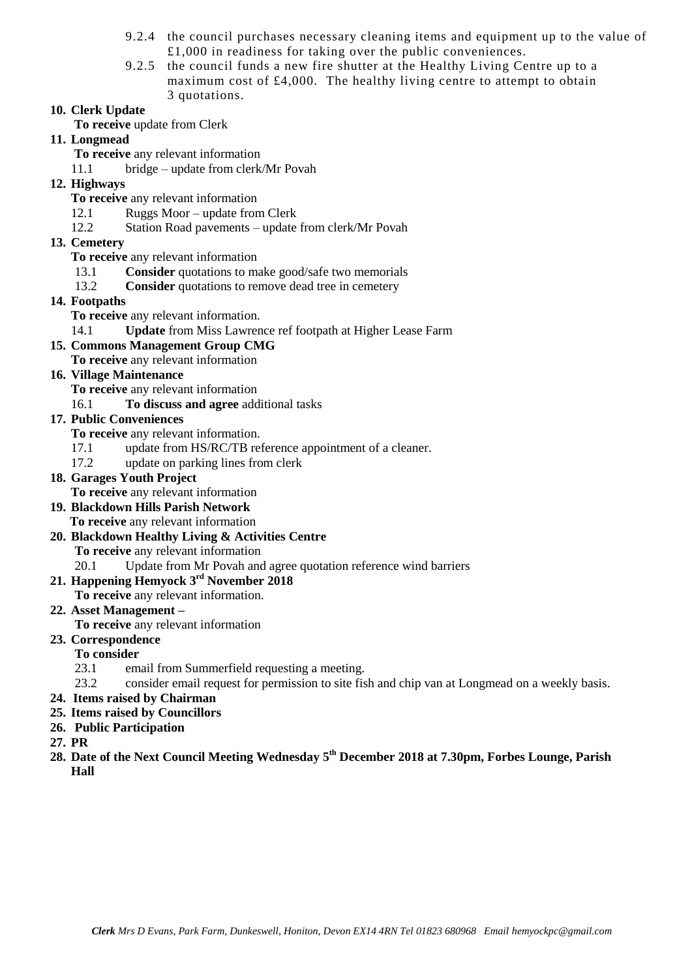- 9.2.4 the council purchases necessary cleaning items and equipment up to the value of £1,000 in readiness for taking over the public conveniences.
- 9.2.5 the council funds a new fire shutter at the Healthy Living Centre up to a maximum cost of £4,000. The healthy living centre to attempt to obtain 3 quotations.

### **10. Clerk Update**

- **To receive** update from Clerk
- **11. Longmead**
	- **To receive** any relevant information
	- 11.1 bridge update from clerk/Mr Povah
- **12. Highways** 
	- **To receive** any relevant information
	- 12.1 Ruggs Moor update from Clerk
	- 12.2 Station Road pavements update from clerk/Mr Povah
- **13. Cemetery** 
	- **To receive** any relevant information
	- 13.1 **Consider** quotations to make good/safe two memorials
	- 13.2 **Consider** quotations to remove dead tree in cemetery
- **14. Footpaths**
	- **To receive** any relevant information.
	- 14.1 **Update** from Miss Lawrence ref footpath at Higher Lease Farm
- **15. Commons Management Group CMG**
	- **To receive** any relevant information
- **16. Village Maintenance**
	- **To receive** any relevant information
	- 16.1 **To discuss and agree** additional tasks
- **17. Public Conveniences**

**To receive** any relevant information.

- 17.1 update from HS/RC/TB reference appointment of a cleaner.
- 17.2 update on parking lines from clerk
- **18. Garages Youth Project** 
	- **To receive** any relevant information
- **19. Blackdown Hills Parish Network To receive** any relevant information
- **20. Blackdown Healthy Living & Activities Centre To receive** any relevant information
	- 20.1 Update from Mr Povah and agree quotation reference wind barriers

# **21. Happening Hemyock 3 rd November 2018**

**To receive** any relevant information.

- **22. Asset Management –**
	- **To receive** any relevant information
- **23. Correspondence**

# **To consider**

- 23.1 email from Summerfield requesting a meeting.
- 23.2 consider email request for permission to site fish and chip van at Longmead on a weekly basis.
- **24. Items raised by Chairman**
- **25. Items raised by Councillors**
- **26. Public Participation**
- **27. PR**
- **28. Date of the Next Council Meeting Wednesday 5 th December 2018 at 7.30pm, Forbes Lounge, Parish Hall**